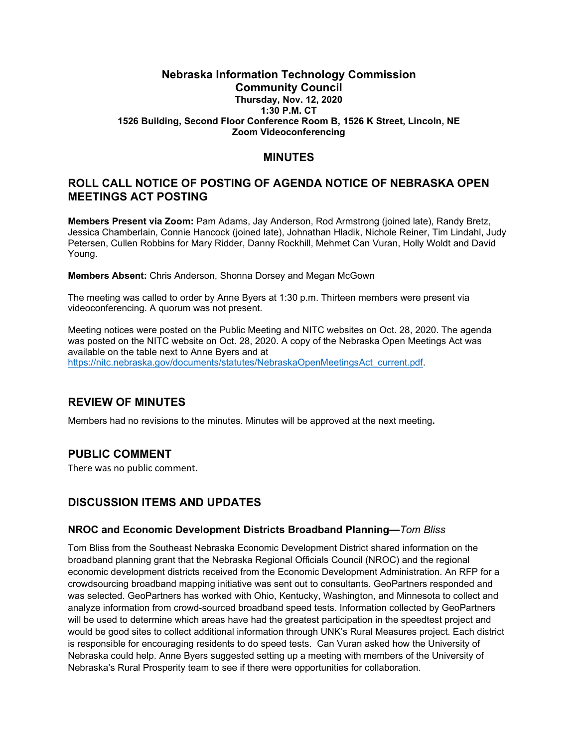### **Nebraska Information Technology Commission Community Council Thursday, Nov. 12, 2020 1:30 P.M. CT 1526 Building, Second Floor Conference Room B, 1526 K Street, Lincoln, NE Zoom Videoconferencing**

# **MINUTES**

# **ROLL CALL NOTICE OF POSTING OF AGENDA NOTICE OF NEBRASKA OPEN MEETINGS ACT POSTING**

**Members Present via Zoom:** Pam Adams, Jay Anderson, Rod Armstrong (joined late), Randy Bretz, Jessica Chamberlain, Connie Hancock (joined late), Johnathan Hladik, Nichole Reiner, Tim Lindahl, Judy Petersen, Cullen Robbins for Mary Ridder, Danny Rockhill, Mehmet Can Vuran, Holly Woldt and David Young.

**Members Absent:** Chris Anderson, Shonna Dorsey and Megan McGown

The meeting was called to order by Anne Byers at 1:30 p.m. Thirteen members were present via videoconferencing. A quorum was not present.

Meeting notices were posted on the Public Meeting and NITC websites on Oct. 28, 2020. The agenda was posted on the NITC website on Oct. 28, 2020. A copy of the Nebraska Open Meetings Act was available on the table next to Anne Byers and at [https://nitc.nebraska.gov/documents/statutes/NebraskaOpenMeetingsAct\\_current.pdf.](https://nitc.nebraska.gov/documents/statutes/NebraskaOpenMeetingsAct_current.pdf)

# **REVIEW OF MINUTES**

Members had no revisions to the minutes. Minutes will be approved at the next meeting**.** 

# **PUBLIC COMMENT**

There was no public comment.

# **DISCUSSION ITEMS AND UPDATES**

#### **NROC and Economic Development Districts Broadband Planning—***Tom Bliss*

Tom Bliss from the Southeast Nebraska Economic Development District shared information on the broadband planning grant that the Nebraska Regional Officials Council (NROC) and the regional economic development districts received from the Economic Development Administration. An RFP for a crowdsourcing broadband mapping initiative was sent out to consultants. GeoPartners responded and was selected. GeoPartners has worked with Ohio, Kentucky, Washington, and Minnesota to collect and analyze information from crowd-sourced broadband speed tests. Information collected by GeoPartners will be used to determine which areas have had the greatest participation in the speedtest project and would be good sites to collect additional information through UNK's Rural Measures project. Each district is responsible for encouraging residents to do speed tests. Can Vuran asked how the University of Nebraska could help. Anne Byers suggested setting up a meeting with members of the University of Nebraska's Rural Prosperity team to see if there were opportunities for collaboration.